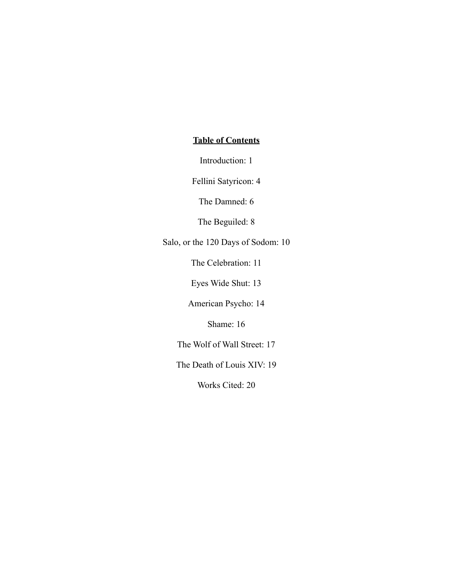# **Table of Contents**

Introduction: 1

Fellini Satyricon: 4

The Damned: 6

The Beguiled: 8

Salo, or the 120 Days of Sodom: 10

The Celebration: 11

Eyes Wide Shut: 13

American Psycho: 14

Shame: 16

The Wolf of Wall Street: 17

The Death of Louis XIV: 19

Works Cited: 20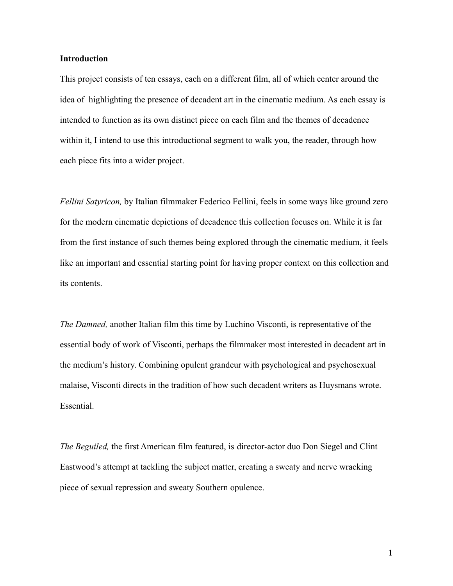## **Introduction**

This project consists of ten essays, each on a different film, all of which center around the idea of highlighting the presence of decadent art in the cinematic medium. As each essay is intended to function as its own distinct piece on each film and the themes of decadence within it, I intend to use this introductional segment to walk you, the reader, through how each piece fits into a wider project.

*Fellini Satyricon,* by Italian filmmaker Federico Fellini, feels in some ways like ground zero for the modern cinematic depictions of decadence this collection focuses on. While it is far from the first instance of such themes being explored through the cinematic medium, it feels like an important and essential starting point for having proper context on this collection and its contents.

*The Damned,* another Italian film this time by Luchino Visconti, is representative of the essential body of work of Visconti, perhaps the filmmaker most interested in decadent art in the medium's history. Combining opulent grandeur with psychological and psychosexual malaise, Visconti directs in the tradition of how such decadent writers as Huysmans wrote. Essential.

*The Beguiled,* the first American film featured, is director-actor duo Don Siegel and Clint Eastwood's attempt at tackling the subject matter, creating a sweaty and nerve wracking piece of sexual repression and sweaty Southern opulence.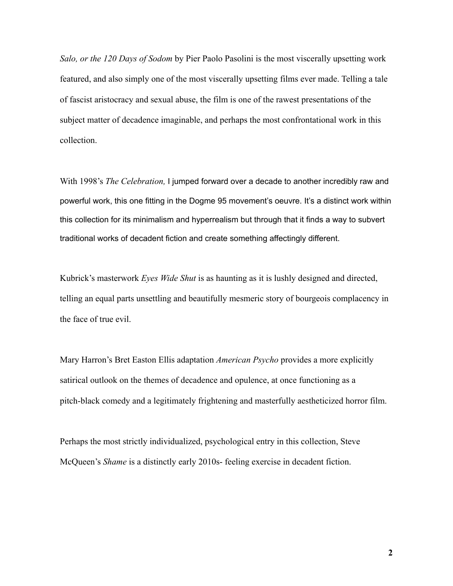*Salo, or the 120 Days of Sodom* by Pier Paolo Pasolini is the most viscerally upsetting work featured, and also simply one of the most viscerally upsetting films ever made. Telling a tale of fascist aristocracy and sexual abuse, the film is one of the rawest presentations of the subject matter of decadence imaginable, and perhaps the most confrontational work in this collection.

With 1998's *The Celebration,* I jumped forward over a decade to another incredibly raw and powerful work, this one fitting in the Dogme 95 movement's oeuvre. It's a distinct work within this collection for its minimalism and hyperrealism but through that it finds a way to subvert traditional works of decadent fiction and create something affectingly different.

Kubrick's masterwork *Eyes Wide Shut* is as haunting as it is lushly designed and directed, telling an equal parts unsettling and beautifully mesmeric story of bourgeois complacency in the face of true evil.

Mary Harron's Bret Easton Ellis adaptation *American Psycho* provides a more explicitly satirical outlook on the themes of decadence and opulence, at once functioning as a pitch-black comedy and a legitimately frightening and masterfully aestheticized horror film.

Perhaps the most strictly individualized, psychological entry in this collection, Steve McQueen's *Shame* is a distinctly early 2010s- feeling exercise in decadent fiction.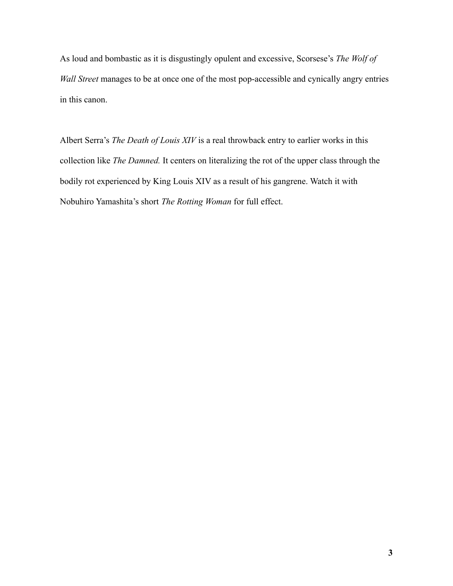As loud and bombastic as it is disgustingly opulent and excessive, Scorsese's *The Wolf of Wall Street* manages to be at once one of the most pop-accessible and cynically angry entries in this canon.

Albert Serra's *The Death of Louis XIV* is a real throwback entry to earlier works in this collection like *The Damned.* It centers on literalizing the rot of the upper class through the bodily rot experienced by King Louis XIV as a result of his gangrene. Watch it with Nobuhiro Yamashita's short *The Rotting Woman* for full effect.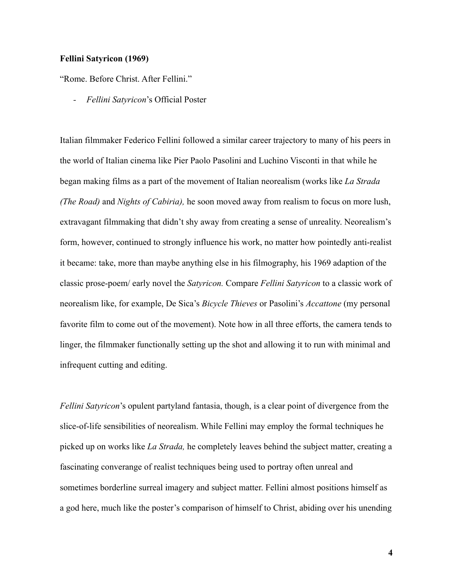# **Fellini Satyricon (1969)**

"Rome. Before Christ. After Fellini."

*- Fellini Satyricon*'s Official Poster

Italian filmmaker Federico Fellini followed a similar career trajectory to many of his peers in the world of Italian cinema like Pier Paolo Pasolini and Luchino Visconti in that while he began making films as a part of the movement of Italian neorealism (works like *La Strada (The Road)* and *Nights of Cabiria),* he soon moved away from realism to focus on more lush, extravagant filmmaking that didn't shy away from creating a sense of unreality. Neorealism's form, however, continued to strongly influence his work, no matter how pointedly anti-realist it became: take, more than maybe anything else in his filmography, his 1969 adaption of the classic prose-poem/ early novel the *Satyricon.* Compare *Fellini Satyricon* to a classic work of neorealism like, for example, De Sica's *Bicycle Thieves* or Pasolini's *Accattone* (my personal favorite film to come out of the movement). Note how in all three efforts, the camera tends to linger, the filmmaker functionally setting up the shot and allowing it to run with minimal and infrequent cutting and editing.

*Fellini Satyricon*'s opulent partyland fantasia, though, is a clear point of divergence from the slice-of-life sensibilities of neorealism. While Fellini may employ the formal techniques he picked up on works like *La Strada,* he completely leaves behind the subject matter, creating a fascinating converange of realist techniques being used to portray often unreal and sometimes borderline surreal imagery and subject matter. Fellini almost positions himself as a god here, much like the poster's comparison of himself to Christ, abiding over his unending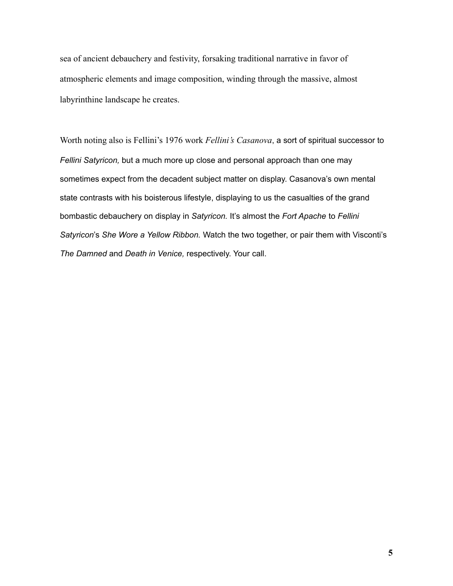sea of ancient debauchery and festivity, forsaking traditional narrative in favor of atmospheric elements and image composition, winding through the massive, almost labyrinthine landscape he creates.

Worth noting also is Fellini's 1976 work *Fellini's Casanova*, a sort of spiritual successor to *Fellini Satyricon,* but a much more up close and personal approach than one may sometimes expect from the decadent subject matter on display. Casanova's own mental state contrasts with his boisterous lifestyle, displaying to us the casualties of the grand bombastic debauchery on display in *Satyricon.* It's almost the *Fort Apache* to *Fellini Satyricon*'s *She Wore a Yellow Ribbon.* Watch the two together, or pair them with Visconti's *The Damned* and *Death in Venice,* respectively. Your call.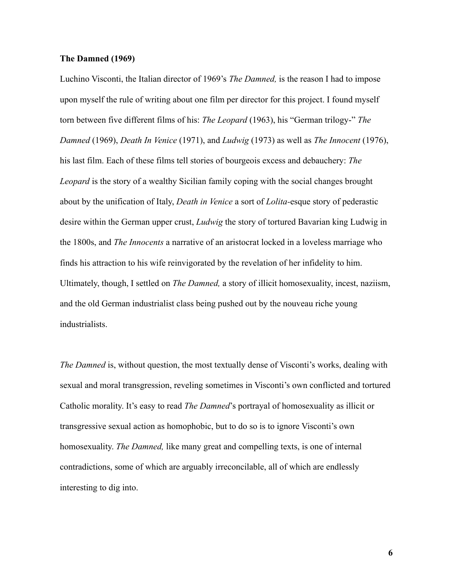## **The Damned (1969)**

Luchino Visconti, the Italian director of 1969's *The Damned,* is the reason I had to impose upon myself the rule of writing about one film per director for this project. I found myself torn between five different films of his: *The Leopard* (1963), his "German trilogy-" *The Damned* (1969), *Death In Venice* (1971), and *Ludwig* (1973) as well as *The Innocent* (1976), his last film. Each of these films tell stories of bourgeois excess and debauchery: *The Leopard* is the story of a wealthy Sicilian family coping with the social changes brought about by the unification of Italy, *Death in Venice* a sort of *Lolita-*esque story of pederastic desire within the German upper crust, *Ludwig* the story of tortured Bavarian king Ludwig in the 1800s, and *The Innocents* a narrative of an aristocrat locked in a loveless marriage who finds his attraction to his wife reinvigorated by the revelation of her infidelity to him. Ultimately, though, I settled on *The Damned,* a story of illicit homosexuality, incest, naziism, and the old German industrialist class being pushed out by the nouveau riche young industrialists.

*The Damned* is, without question, the most textually dense of Visconti's works, dealing with sexual and moral transgression, reveling sometimes in Visconti's own conflicted and tortured Catholic morality. It's easy to read *The Damned*'s portrayal of homosexuality as illicit or transgressive sexual action as homophobic, but to do so is to ignore Visconti's own homosexuality. *The Damned,* like many great and compelling texts, is one of internal contradictions, some of which are arguably irreconcilable, all of which are endlessly interesting to dig into.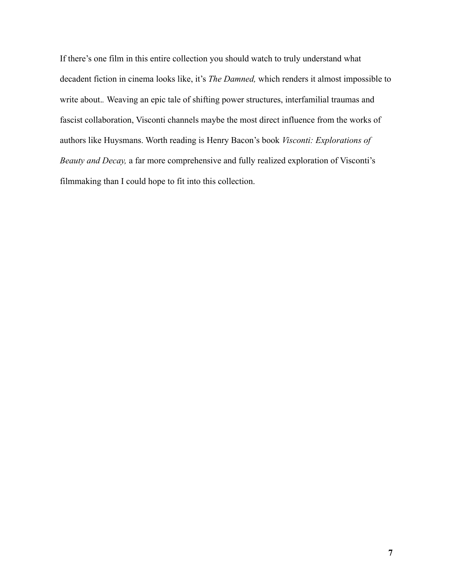If there's one film in this entire collection you should watch to truly understand what decadent fiction in cinema looks like, it's *The Damned,* which renders it almost impossible to write about.*.* Weaving an epic tale of shifting power structures, interfamilial traumas and fascist collaboration, Visconti channels maybe the most direct influence from the works of authors like Huysmans. Worth reading is Henry Bacon's book *Visconti: Explorations of Beauty and Decay,* a far more comprehensive and fully realized exploration of Visconti's filmmaking than I could hope to fit into this collection.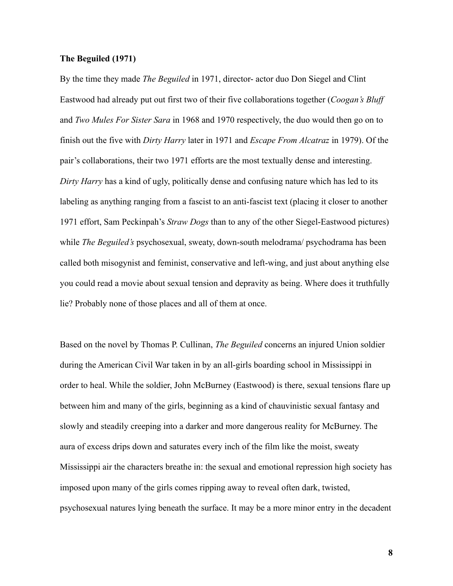# **The Beguiled (1971)**

By the time they made *The Beguiled* in 1971, director- actor duo Don Siegel and Clint Eastwood had already put out first two of their five collaborations together (*Coogan's Bluff* and *Two Mules For Sister Sara* in 1968 and 1970 respectively, the duo would then go on to finish out the five with *Dirty Harry* later in 1971 and *Escape From Alcatraz* in 1979). Of the pair's collaborations, their two 1971 efforts are the most textually dense and interesting. *Dirty Harry* has a kind of ugly, politically dense and confusing nature which has led to its labeling as anything ranging from a fascist to an anti-fascist text (placing it closer to another 1971 effort, Sam Peckinpah's *Straw Dogs* than to any of the other Siegel-Eastwood pictures) while *The Beguiled's* psychosexual, sweaty, down-south melodrama/ psychodrama has been called both misogynist and feminist, conservative and left-wing, and just about anything else you could read a movie about sexual tension and depravity as being. Where does it truthfully lie? Probably none of those places and all of them at once.

Based on the novel by Thomas P. Cullinan, *The Beguiled* concerns an injured Union soldier during the American Civil War taken in by an all-girls boarding school in Mississippi in order to heal. While the soldier, John McBurney (Eastwood) is there, sexual tensions flare up between him and many of the girls, beginning as a kind of chauvinistic sexual fantasy and slowly and steadily creeping into a darker and more dangerous reality for McBurney. The aura of excess drips down and saturates every inch of the film like the moist, sweaty Mississippi air the characters breathe in: the sexual and emotional repression high society has imposed upon many of the girls comes ripping away to reveal often dark, twisted, psychosexual natures lying beneath the surface. It may be a more minor entry in the decadent

**8**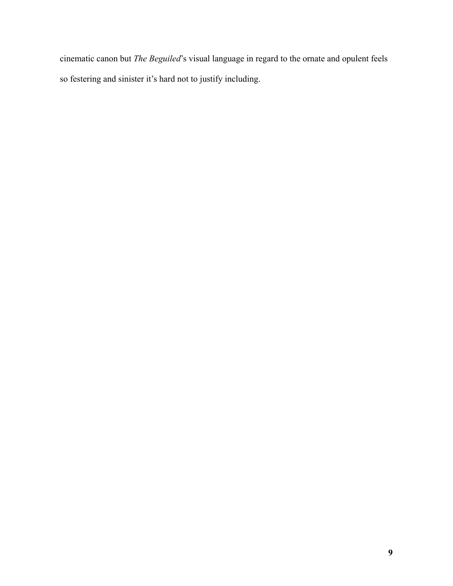cinematic canon but *The Beguiled*'s visual language in regard to the ornate and opulent feels so festering and sinister it's hard not to justify including.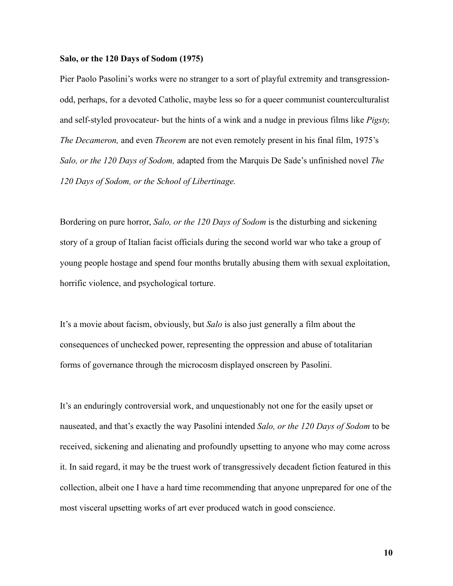#### **Salo, or the 120 Days of Sodom (1975)**

Pier Paolo Pasolini's works were no stranger to a sort of playful extremity and transgressionodd, perhaps, for a devoted Catholic, maybe less so for a queer communist counterculturalist and self-styled provocateur- but the hints of a wink and a nudge in previous films like *Pigsty, The Decameron,* and even *Theorem* are not even remotely present in his final film, 1975's *Salo, or the 120 Days of Sodom,* adapted from the Marquis De Sade's unfinished novel *The 120 Days of Sodom, or the School of Libertinage.*

Bordering on pure horror, *Salo, or the 120 Days of Sodom* is the disturbing and sickening story of a group of Italian facist officials during the second world war who take a group of young people hostage and spend four months brutally abusing them with sexual exploitation, horrific violence, and psychological torture.

It's a movie about facism, obviously, but *Salo* is also just generally a film about the consequences of unchecked power, representing the oppression and abuse of totalitarian forms of governance through the microcosm displayed onscreen by Pasolini.

It's an enduringly controversial work, and unquestionably not one for the easily upset or nauseated, and that's exactly the way Pasolini intended *Salo, or the 120 Days of Sodom* to be received, sickening and alienating and profoundly upsetting to anyone who may come across it. In said regard, it may be the truest work of transgressively decadent fiction featured in this collection, albeit one I have a hard time recommending that anyone unprepared for one of the most visceral upsetting works of art ever produced watch in good conscience.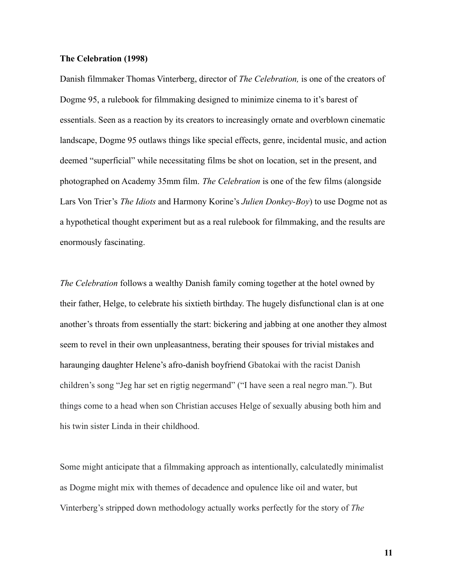## **The Celebration (1998)**

Danish filmmaker Thomas Vinterberg, director of *The Celebration,* is one of the creators of Dogme 95, a rulebook for filmmaking designed to minimize cinema to it's barest of essentials. Seen as a reaction by its creators to increasingly ornate and overblown cinematic landscape, Dogme 95 outlaws things like special effects, genre, incidental music, and action deemed "superficial" while necessitating films be shot on location, set in the present, and photographed on Academy 35mm film. *The Celebration* is one of the few films (alongside Lars Von Trier's *The Idiots* and Harmony Korine's *Julien Donkey-Boy*) to use Dogme not as a hypothetical thought experiment but as a real rulebook for filmmaking, and the results are enormously fascinating.

*The Celebration* follows a wealthy Danish family coming together at the hotel owned by their father, Helge, to celebrate his sixtieth birthday. The hugely disfunctional clan is at one another's throats from essentially the start: bickering and jabbing at one another they almost seem to revel in their own unpleasantness, berating their spouses for trivial mistakes and haraunging daughter Helene's afro-danish boyfriend Gbatokai with the racist Danish children's song "Jeg har set en rigtig negermand" ("I have seen a real negro man."). But things come to a head when son Christian accuses Helge of sexually abusing both him and his twin sister Linda in their childhood.

Some might anticipate that a filmmaking approach as intentionally, calculatedly minimalist as Dogme might mix with themes of decadence and opulence like oil and water, but Vinterberg's stripped down methodology actually works perfectly for the story of *The*

**11**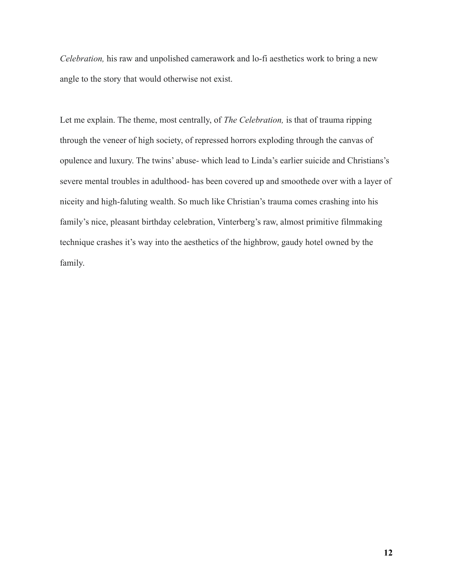*Celebration,* his raw and unpolished camerawork and lo-fi aesthetics work to bring a new angle to the story that would otherwise not exist.

Let me explain. The theme, most centrally, of *The Celebration,* is that of trauma ripping through the veneer of high society, of repressed horrors exploding through the canvas of opulence and luxury. The twins' abuse- which lead to Linda's earlier suicide and Christians's severe mental troubles in adulthood- has been covered up and smoothede over with a layer of niceity and high-faluting wealth. So much like Christian's trauma comes crashing into his family's nice, pleasant birthday celebration, Vinterberg's raw, almost primitive filmmaking technique crashes it's way into the aesthetics of the highbrow, gaudy hotel owned by the family.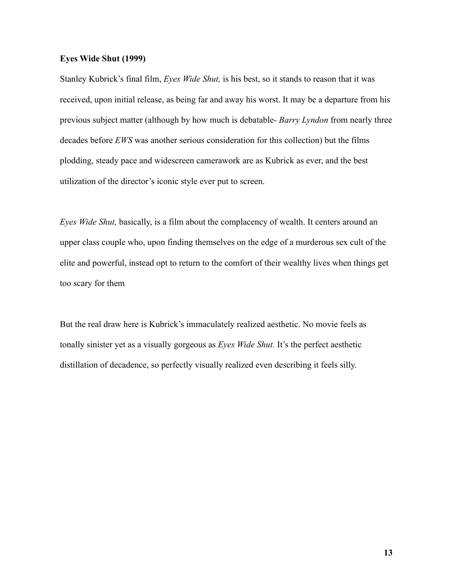#### **Eyes Wide Shut (1999)**

Stanley Kubrick's final film, *Eyes Wide Shut,* is his best, so it stands to reason that it was received, upon initial release, as being far and away his worst. It may be a departure from his previous subject matter (although by how much is debatable- *Barry Lyndon* from nearly three decades before *EWS* was another serious consideration for this collection) but the films plodding, steady pace and widescreen camerawork are as Kubrick as ever, and the best utilization of the director's iconic style ever put to screen.

*Eyes Wide Shut,* basically, is a film about the complacency of wealth. It centers around an upper class couple who, upon finding themselves on the edge of a murderous sex cult of the elite and powerful, instead opt to return to the comfort of their wealthy lives when things get too scary for them

But the real draw here is Kubrick's immaculately realized aesthetic. No movie feels as tonally sinister yet as a visually gorgeous as *Eyes Wide Shut.* It's the perfect aesthetic distillation of decadence, so perfectly visually realized even describing it feels silly.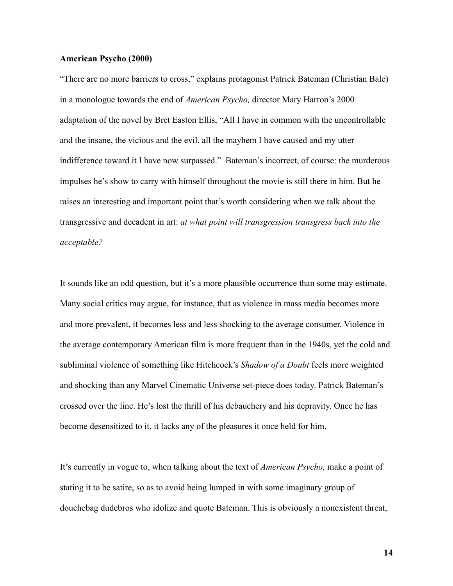## **American Psycho (2000)**

"There are no more barriers to cross," explains protagonist Patrick Bateman (Christian Bale) in a monologue towards the end of *American Psycho,* director Mary Harron's 2000 adaptation of the novel by Bret Easton Ellis, "All I have in common with the uncontrollable and the insane, the vicious and the evil, all the mayhem I have caused and my utter indifference toward it I have now surpassed." Bateman's incorrect, of course: the murderous impulses he's show to carry with himself throughout the movie is still there in him. But he raises an interesting and important point that's worth considering when we talk about the transgressive and decadent in art: *at what point will transgression transgress back into the acceptable?*

It sounds like an odd question, but it's a more plausible occurrence than some may estimate. Many social critics may argue, for instance, that as violence in mass media becomes more and more prevalent, it becomes less and less shocking to the average consumer. Violence in the average contemporary American film is more frequent than in the 1940s, yet the cold and subliminal violence of something like Hitchcock's *Shadow of a Doubt* feels more weighted and shocking than any Marvel Cinematic Universe set-piece does today. Patrick Bateman's crossed over the line. He's lost the thrill of his debauchery and his depravity. Once he has become desensitized to it, it lacks any of the pleasures it once held for him.

It's currently in vogue to, when talking about the text of *American Psycho,* make a point of stating it to be satire, so as to avoid being lumped in with some imaginary group of douchebag dudebros who idolize and quote Bateman. This is obviously a nonexistent threat,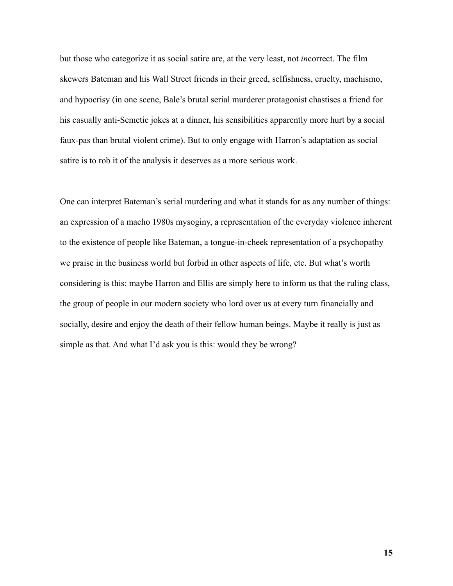but those who categorize it as social satire are, at the very least, not *in*correct. The film skewers Bateman and his Wall Street friends in their greed, selfishness, cruelty, machismo, and hypocrisy (in one scene, Bale's brutal serial murderer protagonist chastises a friend for his casually anti-Semetic jokes at a dinner, his sensibilities apparently more hurt by a social faux-pas than brutal violent crime). But to only engage with Harron's adaptation as social satire is to rob it of the analysis it deserves as a more serious work.

One can interpret Bateman's serial murdering and what it stands for as any number of things: an expression of a macho 1980s mysoginy, a representation of the everyday violence inherent to the existence of people like Bateman, a tongue-in-cheek representation of a psychopathy we praise in the business world but forbid in other aspects of life, etc. But what's worth considering is this: maybe Harron and Ellis are simply here to inform us that the ruling class, the group of people in our modern society who lord over us at every turn financially and socially, desire and enjoy the death of their fellow human beings. Maybe it really is just as simple as that. And what I'd ask you is this: would they be wrong?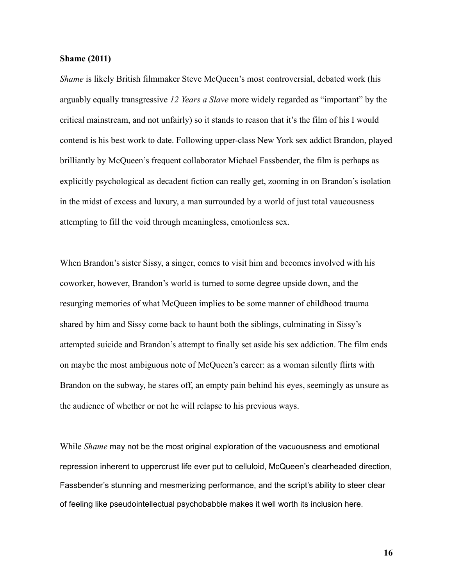## **Shame (2011)**

*Shame* is likely British filmmaker Steve McQueen's most controversial, debated work (his arguably equally transgressive *12 Years a Slave* more widely regarded as "important" by the critical mainstream, and not unfairly) so it stands to reason that it's the film of his I would contend is his best work to date. Following upper-class New York sex addict Brandon, played brilliantly by McQueen's frequent collaborator Michael Fassbender, the film is perhaps as explicitly psychological as decadent fiction can really get, zooming in on Brandon's isolation in the midst of excess and luxury, a man surrounded by a world of just total vaucousness attempting to fill the void through meaningless, emotionless sex.

When Brandon's sister Sissy, a singer, comes to visit him and becomes involved with his coworker, however, Brandon's world is turned to some degree upside down, and the resurging memories of what McQueen implies to be some manner of childhood trauma shared by him and Sissy come back to haunt both the siblings, culminating in Sissy's attempted suicide and Brandon's attempt to finally set aside his sex addiction. The film ends on maybe the most ambiguous note of McQueen's career: as a woman silently flirts with Brandon on the subway, he stares off, an empty pain behind his eyes, seemingly as unsure as the audience of whether or not he will relapse to his previous ways.

While *Shame* may not be the most original exploration of the vacuousness and emotional repression inherent to uppercrust life ever put to celluloid, McQueen's clearheaded direction, Fassbender's stunning and mesmerizing performance, and the script's ability to steer clear of feeling like pseudointellectual psychobabble makes it well worth its inclusion here.

**16**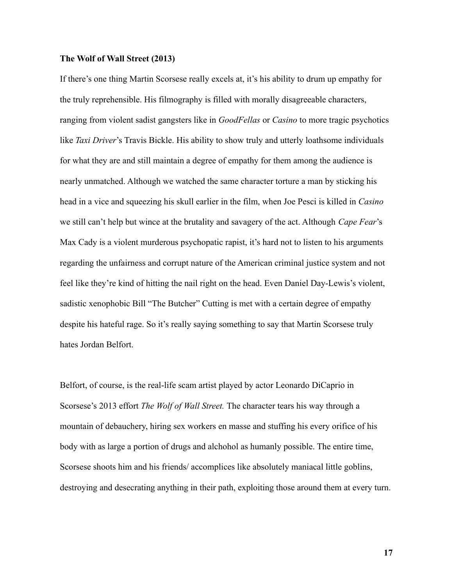## **The Wolf of Wall Street (2013)**

If there's one thing Martin Scorsese really excels at, it's his ability to drum up empathy for the truly reprehensible. His filmography is filled with morally disagreeable characters, ranging from violent sadist gangsters like in *GoodFellas* or *Casino* to more tragic psychotics like *Taxi Driver*'s Travis Bickle. His ability to show truly and utterly loathsome individuals for what they are and still maintain a degree of empathy for them among the audience is nearly unmatched. Although we watched the same character torture a man by sticking his head in a vice and squeezing his skull earlier in the film, when Joe Pesci is killed in *Casino* we still can't help but wince at the brutality and savagery of the act. Although *Cape Fear*'s Max Cady is a violent murderous psychopatic rapist, it's hard not to listen to his arguments regarding the unfairness and corrupt nature of the American criminal justice system and not feel like they're kind of hitting the nail right on the head. Even Daniel Day-Lewis's violent, sadistic xenophobic Bill "The Butcher" Cutting is met with a certain degree of empathy despite his hateful rage. So it's really saying something to say that Martin Scorsese truly hates Jordan Belfort.

Belfort, of course, is the real-life scam artist played by actor Leonardo DiCaprio in Scorsese's 2013 effort *The Wolf of Wall Street.* The character tears his way through a mountain of debauchery, hiring sex workers en masse and stuffing his every orifice of his body with as large a portion of drugs and alchohol as humanly possible. The entire time, Scorsese shoots him and his friends/ accomplices like absolutely maniacal little goblins, destroying and desecrating anything in their path, exploiting those around them at every turn.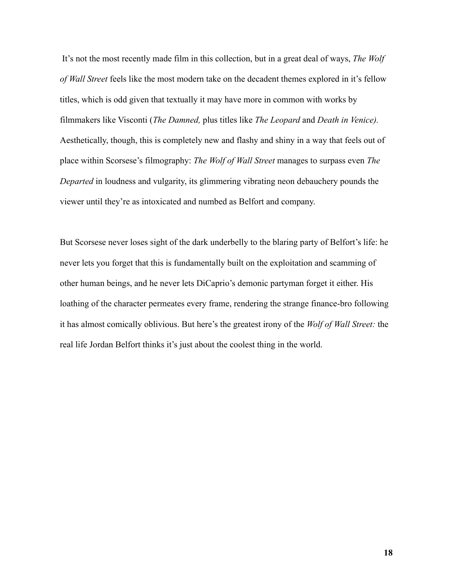It's not the most recently made film in this collection, but in a great deal of ways, *The Wolf of Wall Street* feels like the most modern take on the decadent themes explored in it's fellow titles, which is odd given that textually it may have more in common with works by filmmakers like Visconti (*The Damned,* plus titles like *The Leopard* and *Death in Venice).* Aesthetically, though, this is completely new and flashy and shiny in a way that feels out of place within Scorsese's filmography: *The Wolf of Wall Street* manages to surpass even *The Departed* in loudness and vulgarity, its glimmering vibrating neon debauchery pounds the viewer until they're as intoxicated and numbed as Belfort and company.

But Scorsese never loses sight of the dark underbelly to the blaring party of Belfort's life: he never lets you forget that this is fundamentally built on the exploitation and scamming of other human beings, and he never lets DiCaprio's demonic partyman forget it either. His loathing of the character permeates every frame, rendering the strange finance-bro following it has almost comically oblivious. But here's the greatest irony of the *Wolf of Wall Street:* the real life Jordan Belfort thinks it's just about the coolest thing in the world.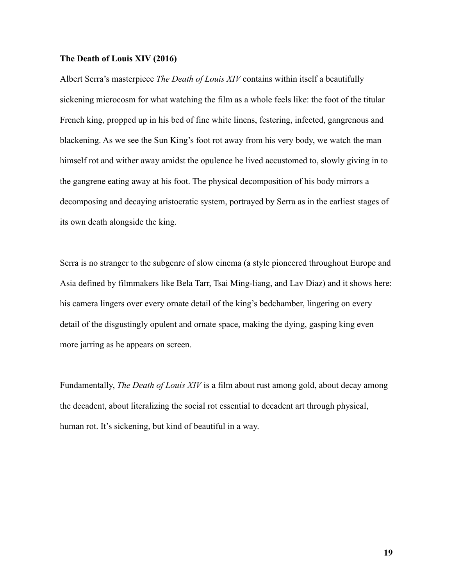# **The Death of Louis XIV (2016)**

Albert Serra's masterpiece *The Death of Louis XIV* contains within itself a beautifully sickening microcosm for what watching the film as a whole feels like: the foot of the titular French king, propped up in his bed of fine white linens, festering, infected, gangrenous and blackening. As we see the Sun King's foot rot away from his very body, we watch the man himself rot and wither away amidst the opulence he lived accustomed to, slowly giving in to the gangrene eating away at his foot. The physical decomposition of his body mirrors a decomposing and decaying aristocratic system, portrayed by Serra as in the earliest stages of its own death alongside the king.

Serra is no stranger to the subgenre of slow cinema (a style pioneered throughout Europe and Asia defined by filmmakers like Bela Tarr, Tsai Ming-liang, and Lav Diaz) and it shows here: his camera lingers over every ornate detail of the king's bedchamber, lingering on every detail of the disgustingly opulent and ornate space, making the dying, gasping king even more jarring as he appears on screen.

Fundamentally, *The Death of Louis XIV* is a film about rust among gold, about decay among the decadent, about literalizing the social rot essential to decadent art through physical, human rot. It's sickening, but kind of beautiful in a way.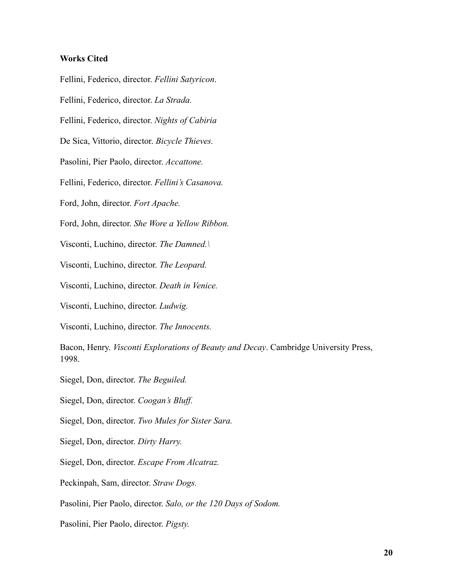# **Works Cited**

Fellini, Federico, director. *Fellini Satyricon*. Fellini, Federico, director. *La Strada.* Fellini, Federico, director. *Nights of Cabiria* De Sica, Vittorio, director. *Bicycle Thieves.* Pasolini, Pier Paolo, director. *Accattone.* Fellini, Federico, director. *Fellini's Casanova.* Ford, John, director. *Fort Apache.* Ford, John, director. *She Wore a Yellow Ribbon.* Visconti, Luchino, director. *The Damned.\* Visconti, Luchino, director. *The Leopard.* Visconti, Luchino, director. *Death in Venice.* Visconti, Luchino, director. *Ludwig.* Visconti, Luchino, director. *The Innocents.* Bacon, Henry. *Visconti Explorations of Beauty and Decay*. Cambridge University Press, 1998. Siegel, Don, director. *The Beguiled.* Siegel, Don, director. *Coogan's Bluff.* Siegel, Don, director. *Two Mules for Sister Sara.* Siegel, Don, director. *Dirty Harry.* Siegel, Don, director. *Escape From Alcatraz.* Peckinpah, Sam, director. *Straw Dogs.* Pasolini, Pier Paolo, director. *Salo, or the 120 Days of Sodom.*

Pasolini, Pier Paolo, director. *Pigsty.*